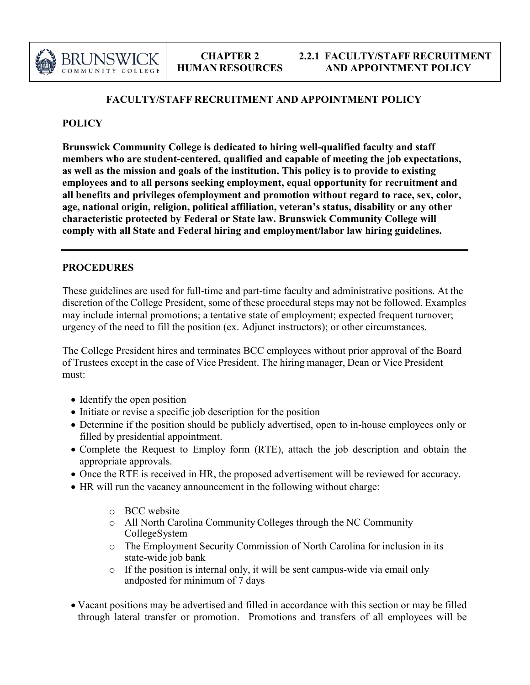

### **FACULTY/STAFF RECRUITMENT AND APPOINTMENT POLICY**

### **POLICY**

**Brunswick Community College is dedicated to hiring well-qualified faculty and staff members who are student-centered, qualified and capable of meeting the job expectations, as well as the mission and goals of the institution. This policy is to provide to existing employees and to all persons seeking employment, equal opportunity for recruitment and all benefits and privileges ofemployment and promotion without regard to race, sex, color, age, national origin, religion, political affiliation, veteran's status, disability or any other characteristic protected by Federal or State law. Brunswick Community College will comply with all State and Federal hiring and employment/labor law hiring guidelines.**

### **PROCEDURES**

These guidelines are used for full-time and part-time faculty and administrative positions. At the discretion of the College President, some of these procedural steps may not be followed. Examples may include internal promotions; a tentative state of employment; expected frequent turnover; urgency of the need to fill the position (ex. Adjunct instructors); or other circumstances.

The College President hires and terminates BCC employees without prior approval of the Board of Trustees except in the case of Vice President. The hiring manager, Dean or Vice President must:

- Identify the open position
- Initiate or revise a specific job description for the position
- Determine if the position should be publicly advertised, open to in-house employees only or filled by presidential appointment.
- Complete the Request to Employ form (RTE), attach the job description and obtain the appropriate approvals.
- Once the RTE is received in HR, the proposed advertisement will be reviewed for accuracy.
- HR will run the vacancy announcement in the following without charge:
	- o BCC website
	- o All North Carolina Community Colleges through the NC Community CollegeSystem
	- o The Employment Security Commission of North Carolina for inclusion in its state-wide job bank
	- o If the position is internal only, it will be sent campus-wide via email only andposted for minimum of 7 days
- Vacant positions may be advertised and filled in accordance with this section or may be filled through lateral transfer or promotion. Promotions and transfers of all employees will be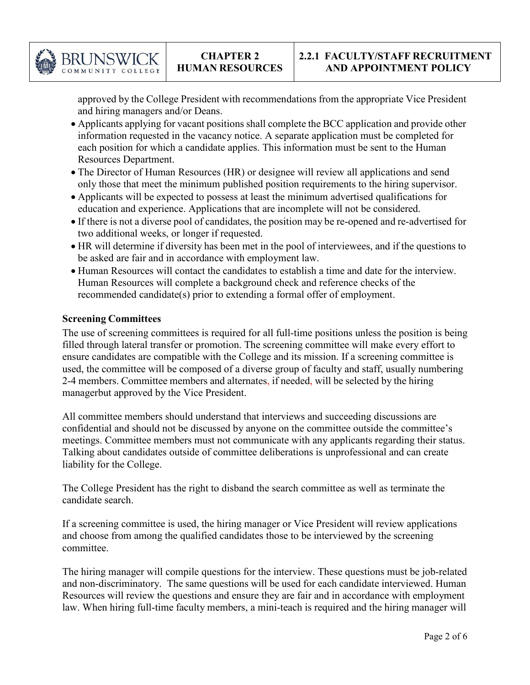

approved by the College President with recommendations from the appropriate Vice President and hiring managers and/or Deans.

- Applicants applying for vacant positions shall complete the BCC application and provide other information requested in the vacancy notice. A separate application must be completed for each position for which a candidate applies. This information must be sent to the Human Resources Department.
- The Director of Human Resources (HR) or designee will review all applications and send only those that meet the minimum published position requirements to the hiring supervisor.
- Applicants will be expected to possess at least the minimum advertised qualifications for education and experience. Applications that are incomplete will not be considered.
- If there is not a diverse pool of candidates, the position may be re-opened and re-advertised for two additional weeks, or longer if requested.
- HR will determine if diversity has been met in the pool of interviewees, and if the questions to be asked are fair and in accordance with employment law.
- Human Resources will contact the candidates to establish a time and date for the interview. Human Resources will complete a background check and reference checks of the recommended candidate(s) prior to extending a formal offer of employment.

# **Screening Committees**

The use of screening committees is required for all full-time positions unless the position is being filled through lateral transfer or promotion. The screening committee will make every effort to ensure candidates are compatible with the College and its mission. If a screening committee is used, the committee will be composed of a diverse group of faculty and staff, usually numbering 2-4 members. Committee members and alternates, if needed, will be selected by the hiring managerbut approved by the Vice President.

All committee members should understand that interviews and succeeding discussions are confidential and should not be discussed by anyone on the committee outside the committee's meetings. Committee members must not communicate with any applicants regarding their status. Talking about candidates outside of committee deliberations is unprofessional and can create liability for the College.

The College President has the right to disband the search committee as well as terminate the candidate search.

If a screening committee is used, the hiring manager or Vice President will review applications and choose from among the qualified candidates those to be interviewed by the screening committee.

The hiring manager will compile questions for the interview. These questions must be job-related and non-discriminatory. The same questions will be used for each candidate interviewed. Human Resources will review the questions and ensure they are fair and in accordance with employment law. When hiring full-time faculty members, a mini-teach is required and the hiring manager will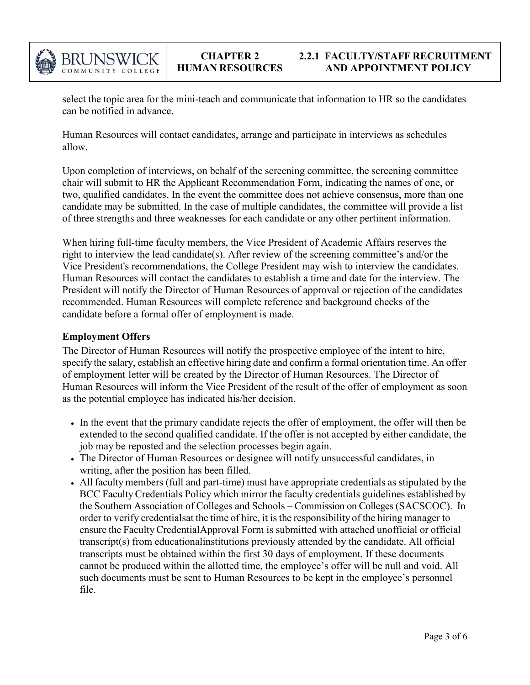

select the topic area for the mini-teach and communicate that information to HR so the candidates can be notified in advance.

Human Resources will contact candidates, arrange and participate in interviews as schedules allow.

Upon completion of interviews, on behalf of the screening committee, the screening committee chair will submit to HR the Applicant Recommendation Form, indicating the names of one, or two, qualified candidates. In the event the committee does not achieve consensus, more than one candidate may be submitted. In the case of multiple candidates, the committee will provide a list of three strengths and three weaknesses for each candidate or any other pertinent information.

When hiring full-time faculty members, the Vice President of Academic Affairs reserves the right to interview the lead candidate(s). After review of the screening committee's and/or the Vice President's recommendations, the College President may wish to interview the candidates. Human Resources will contact the candidates to establish a time and date for the interview. The President will notify the Director of Human Resources of approval or rejection of the candidates recommended. Human Resources will complete reference and background checks of the candidate before a formal offer of employment is made.

# **Employment Offers**

The Director of Human Resources will notify the prospective employee of the intent to hire, specify the salary, establish an effective hiring date and confirm a formal orientation time. An offer of employment letter will be created by the Director of Human Resources. The Director of Human Resources will inform the Vice President of the result of the offer of employment as soon as the potential employee has indicated his/her decision.

- In the event that the primary candidate rejects the offer of employment, the offer will then be extended to the second qualified candidate. If the offer is not accepted by either candidate, the job may be reposted and the selection processes begin again.
- The Director of Human Resources or designee will notify unsuccessful candidates, in writing, after the position has been filled.
- All faculty members (full and part-time) must have appropriate credentials as stipulated by the BCC FacultyCredentials Policy which mirror the faculty credentials guidelines established by the Southern Association of Colleges and Schools – Commission on Colleges (SACSCOC). In order to verify credentialsat the time of hire, it is the responsibility of the hiring manager to ensure the FacultyCredentialApproval Form is submitted with attached unofficial or official transcript(s) from educationalinstitutions previously attended by the candidate. All official transcripts must be obtained within the first 30 days of employment. If these documents cannot be produced within the allotted time, the employee's offer will be null and void. All such documents must be sent to Human Resources to be kept in the employee's personnel file.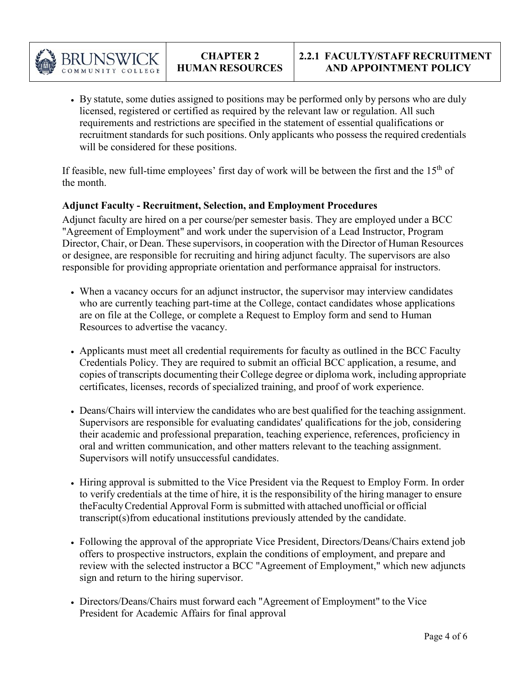

• By statute, some duties assigned to positions may be performed only by persons who are duly licensed, registered or certified as required by the relevant law or regulation. All such requirements and restrictions are specified in the statement of essential qualifications or recruitment standards for such positions. Only applicants who possess the required credentials will be considered for these positions.

If feasible, new full-time employees' first day of work will be between the first and the  $15<sup>th</sup>$  of the month.

# **Adjunct Faculty - Recruitment, Selection, and Employment Procedures**

Adjunct faculty are hired on a per course/per semester basis. They are employed under a BCC "Agreement of Employment" and work under the supervision of a Lead Instructor, Program Director, Chair, or Dean. These supervisors, in cooperation with the Director of Human Resources or designee, are responsible for recruiting and hiring adjunct faculty. The supervisors are also responsible for providing appropriate orientation and performance appraisal for instructors.

- When a vacancy occurs for an adjunct instructor, the supervisor may interview candidates who are currently teaching part-time at the College, contact candidates whose applications are on file at the College, or complete a Request to Employ form and send to Human Resources to advertise the vacancy.
- Applicants must meet all credential requirements for faculty as outlined in the BCC Faculty Credentials Policy. They are required to submit an official BCC application, a resume, and copies of transcripts documenting their College degree or diploma work, including appropriate certificates, licenses, records of specialized training, and proof of work experience.
- Deans/Chairs will interview the candidates who are best qualified for the teaching assignment. Supervisors are responsible for evaluating candidates' qualifications for the job, considering their academic and professional preparation, teaching experience, references, proficiency in oral and written communication, and other matters relevant to the teaching assignment. Supervisors will notify unsuccessful candidates.
- Hiring approval is submitted to the Vice President via the Request to Employ Form. In order to verify credentials at the time of hire, it is the responsibility of the hiring manager to ensure theFacultyCredential Approval Form issubmitted with attached unofficial or official transcript(s)from educational institutions previously attended by the candidate.
- Following the approval of the appropriate Vice President, Directors/Deans/Chairs extend job offers to prospective instructors, explain the conditions of employment, and prepare and review with the selected instructor a BCC "Agreement of Employment," which new adjuncts sign and return to the hiring supervisor.
- Directors/Deans/Chairs must forward each "Agreement of Employment" to the Vice President for Academic Affairs for final approval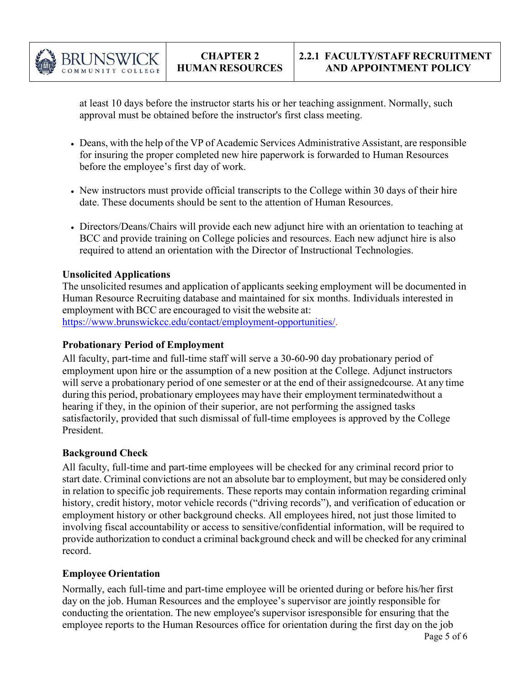

at least 10 days before the instructor starts his or her teaching assignment. Normally, such approval must be obtained before the instructor's first class meeting.

- Deans, with the help of the VP of Academic Services Administrative Assistant, are responsible for insuring the proper completed new hire paperwork is forwarded to Human Resources before the employee's first day of work.
- New instructors must provide official transcripts to the College within 30 days of their hire date. These documents should be sent to the attention of Human Resources.
- Directors/Deans/Chairs will provide each new adjunct hire with an orientation to teaching at BCC and provide training on College policies and resources. Each new adjunct hire is also required to attend an orientation with the Director of Instructional Technologies.

# **Unsolicited Applications**

The unsolicited resumes and application of applicants seeking employment will be documented in Human Resource Recruiting database and maintained for six months. Individuals interested in employment with BCC are encouraged to visit the website at: [https://www.brunswickcc.edu/contact/employment-opportunities/.](https://www.brunswickcc.edu/contact/employment-opportunities/)

# **Probationary Period of Employment**

All faculty, part-time and full-time staff will serve a 30-60-90 day probationary period of employment upon hire or the assumption of a new position at the College. Adjunct instructors will serve a probationary period of one semester or at the end of their assignedcourse. At any time during this period, probationary employees may have their employment terminatedwithout a hearing if they, in the opinion of their superior, are not performing the assigned tasks satisfactorily, provided that such dismissal of full-time employees is approved by the College President.

# **Background Check**

All faculty, full-time and part-time employees will be checked for any criminal record prior to start date. Criminal convictions are not an absolute bar to employment, but may be considered only in relation to specific job requirements. These reports may contain information regarding criminal history, credit history, motor vehicle records ("driving records"), and verification of education or employment history or other background checks. All employees hired, not just those limited to involving fiscal accountability or access to sensitive/confidential information, will be required to provide authorization to conduct a criminal background check and will be checked for any criminal record.

# **Employee Orientation**

Normally, each full-time and part-time employee will be oriented during or before his/her first day on the job. Human Resources and the employee's supervisor are jointly responsible for conducting the orientation. The new employee's supervisor isresponsible for ensuring that the employee reports to the Human Resources office for orientation during the first day on the job